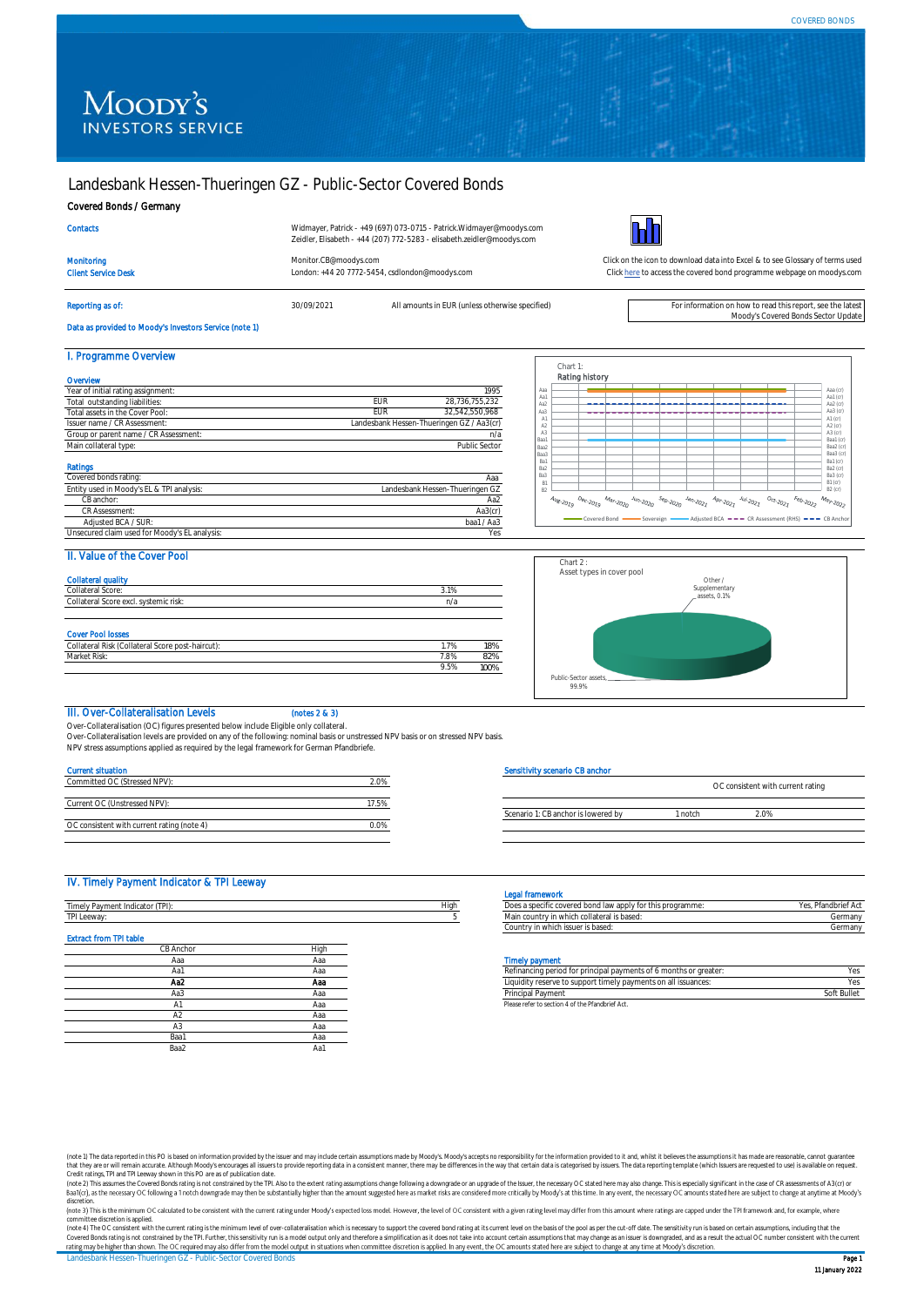# Moody's **INVESTORS SERVICE**

# Landesbank Hessen-Thueringen GZ - Public-Sector Covered Bonds

Client Service Desk London: +44 20 7772-5454, csdlondon@moodys.com

### Covered Bonds / Germany

|  | me |  |
|--|----|--|
|  |    |  |

Widmayer, Patrick - +49 (697) 073-0715 - Patrick.Widmayer@moodys.com Zeidler, Elisabeth - +44 (207) 772-5283 - elisabeth.zeidler@moodys.com

Reporting as of: **30/09/2021** All amounts in EUR (unless otherwise specified) For information on how to read this report, see the lates



Monitoring [Monitor.CB@moodys.com](mailto:Monitor.CB@moodys.com) Click on the icon to download data into Excel & to see Glossary of terms used [Click here](https://www.moodys.com/credit-ratings/Landesbank-HessenThueringen-GZ--PublicSector-Covered-Bonds-credit-rating-722434892) to access the covered bond programme webpage on moodys.com

Moody's Covered Bonds Sector Update

# Data as provided to Moody's Investors Service (note 1)

| I. Programme Overview                         |            |                                           |
|-----------------------------------------------|------------|-------------------------------------------|
| Overvlew                                      |            |                                           |
| Year of initial rating assignment:            |            | 1995                                      |
| Total outstanding liabilities:                | <b>EUR</b> | 28.736.755.232                            |
| Total assets in the Cover Pool:               | <b>EUR</b> | 32.542.550.968                            |
| Issuer name / CR Assessment:                  |            | Landesbank Hessen-Thueringen GZ / Aa3(cr) |
| Group or parent name / CR Assessment:         |            | n/a                                       |
| Main collateral type:                         |            | Public Sector                             |
| <b>Ratings</b>                                |            |                                           |
| Covered bonds rating:                         |            | Ааа                                       |
| Entity used in Moody's EL & TPI analysis:     |            | Landesbank Hessen-Thueringen GZ           |
| CB anchor:                                    |            | Aa2                                       |
| CR Assessment:                                |            | Aa3(cr)                                   |
| Adjusted BCA / SUR:                           |            | baa1 / Aa3                                |
| Unsecured claim used for Moody's EL analysis: |            | Yes                                       |



# II. Value of the Cover Pool

| <b>Collateral quality</b><br>Collateral Score:                   | 3.1% |     |
|------------------------------------------------------------------|------|-----|
| Collateral Score excl. systemic risk:                            | n/a  |     |
|                                                                  |      |     |
|                                                                  |      |     |
|                                                                  |      |     |
| <b>Cover Pool losses</b>                                         |      |     |
|                                                                  | 1.7% | 18% |
| Collateral Risk (Collateral Score post-haircut):<br>Market Risk: | 7.8% | 82% |



# III. Over-Collateralisation Levels (notes 2 & 3)

Over-Collateralisation (OC) figures presented below include Eligible only collateral. Over-Collateralisation levels are provided on any of the following: nominal basis or unstressed NPV basis or on stressed NPV basis.

NPV stress assumptions applied as required by the legal framework for German Pfandbriefe.

## Current situation

| Committed OC (Stressed NPV):               |      |
|--------------------------------------------|------|
|                                            |      |
| Current OC (Unstressed NPV):               |      |
|                                            |      |
| OC consistent with current rating (note 4) | በ በ% |

### ensitivity scenario CB anchor

| OC consistent with current rating |  |  |
|-----------------------------------|--|--|
|                                   |  |  |
|                                   |  |  |
|                                   |  |  |

### IV. Timely Payment Indicator & TPI Leeway

|                                 |      |      | <b>Legal Hallework</b>                                            |                    |
|---------------------------------|------|------|-------------------------------------------------------------------|--------------------|
| Timely Payment Indicator (TPI): |      | High | Does a specific covered bond law apply for this programme:        | Yes, Pfandbrief Ac |
| TPI Leeway:                     |      |      | Main country in which collateral is based:                        | Germany            |
|                                 |      |      | Country in which issuer is based:                                 | Germany            |
| <b>Extract from TPI table</b>   |      |      |                                                                   |                    |
| CB Anchor                       | High |      |                                                                   |                    |
| Aaa                             | Ааа  |      | <b>Timely payment</b>                                             |                    |
| Aa1                             | Ааа  |      | Refinancing period for principal payments of 6 months or greater: | Yes                |
| Aa2                             | Aaa  |      | Liquidity reserve to support timely payments on all issuances:    | Yes                |
| Aa3                             | Ааа  |      | Principal Payment                                                 | Soft Bullet        |
|                                 | Ааа  |      | Please refer to section 4 of the Pfandbrief Act.                  |                    |
| A2                              | Ааа  |      |                                                                   |                    |
| A3                              | Ааа  |      |                                                                   |                    |
| Baa1                            | Ааа  |      |                                                                   |                    |
| Baa2                            | Aa1  |      |                                                                   |                    |

### Legal framework

| Does a specific covered bond law apply for this programme: | Yes, Pfandbrief Act |
|------------------------------------------------------------|---------------------|
| Main country in which collateral is based:                 | Germany             |
| Country in which issuer is based:                          | Germanv             |

|     |     | .                                                                 |             |
|-----|-----|-------------------------------------------------------------------|-------------|
| Aa1 |     | Refinancing period for principal payments of 6 months or greater: |             |
| Aa2 | Aaa | Liquidity reserve to support timely payments on all issuances:    |             |
| Aa3 | маа | Principal Payment                                                 | Soft Bullet |
|     |     | Plages rafer to section A of the Pfandhrief Act                   |             |

(note 1) The data reported in this PO is based on information provided by the issuer and may include certain assumptions made by Moody's Moody's accepts no responsibility for the information provided to it and, whilst it b that they are or will remain accurate. Although Moody's encourages all issuers to provide reporting data in a consistent manner, there may be differences in the way that certain data is categorised by issues. The data repo

discretion.

committee discretion is applied.<br>(note 4) The OC consistent with the current rating is the minimum level of over-collateralisation which is necessary to support the covered bond rating at its current level on the basis of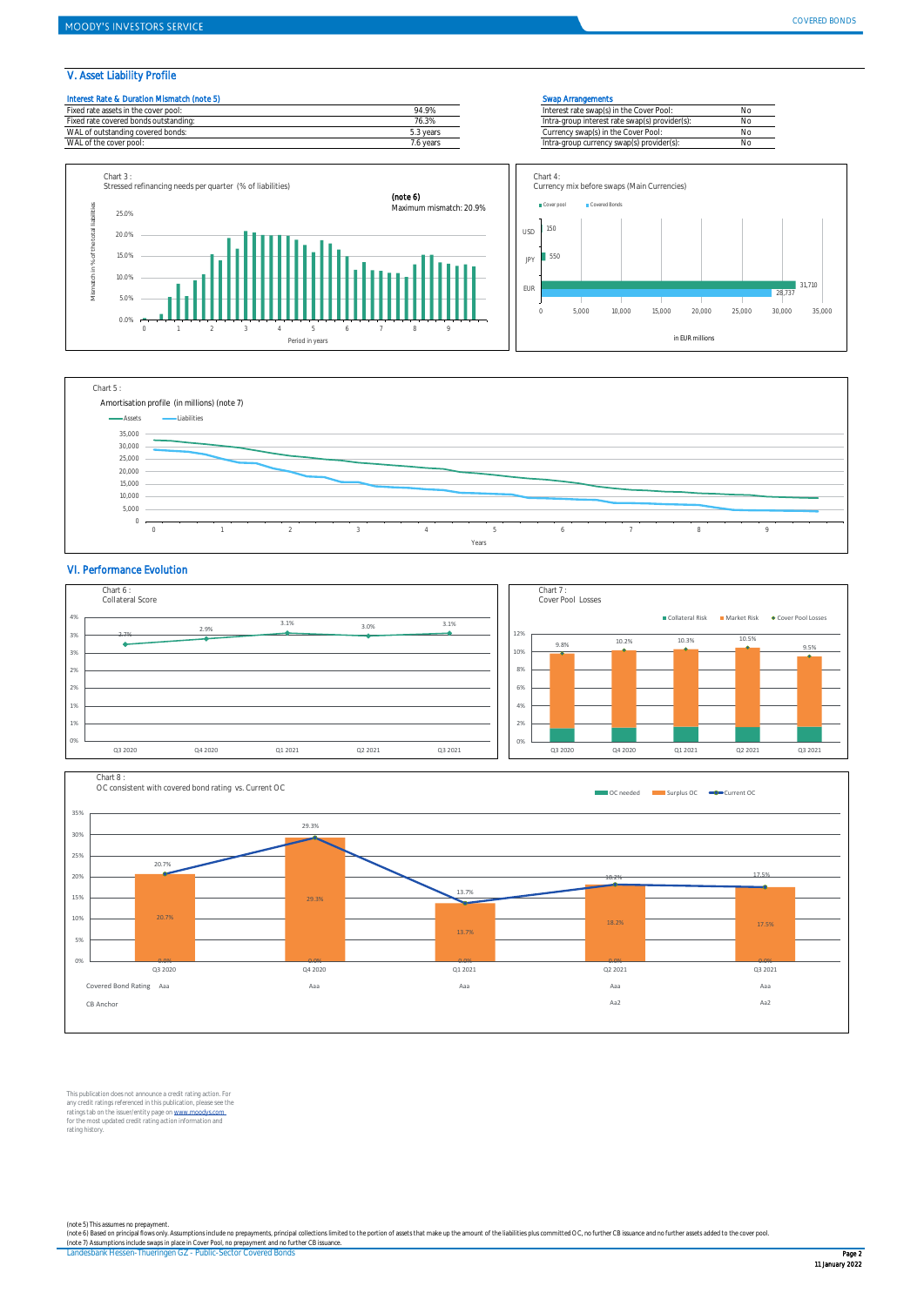### V. Asset Liability Profile

Chart 3 :



Stressed refinancing needs per quarter (% of liabilities)









### VI. Performance Evolution





This publication does not announce a credit rating action. For any credit ratings referenced in this publication, please see the<br>ratings tab on the issuer/entity page on <u>www.moodys.com .</u><br>for the most updated credit rating action information and rating history.

(note 5) This assumes no prepayment.<br>(note 6) Based on principal fows only. Assumptions include no prepayments, principal collections limited to the portion of assets that make up the amount of the liabilities plus committ

Landesbank Hessen-Thueringen GZ - Public-Sector Covered Bonds Page 2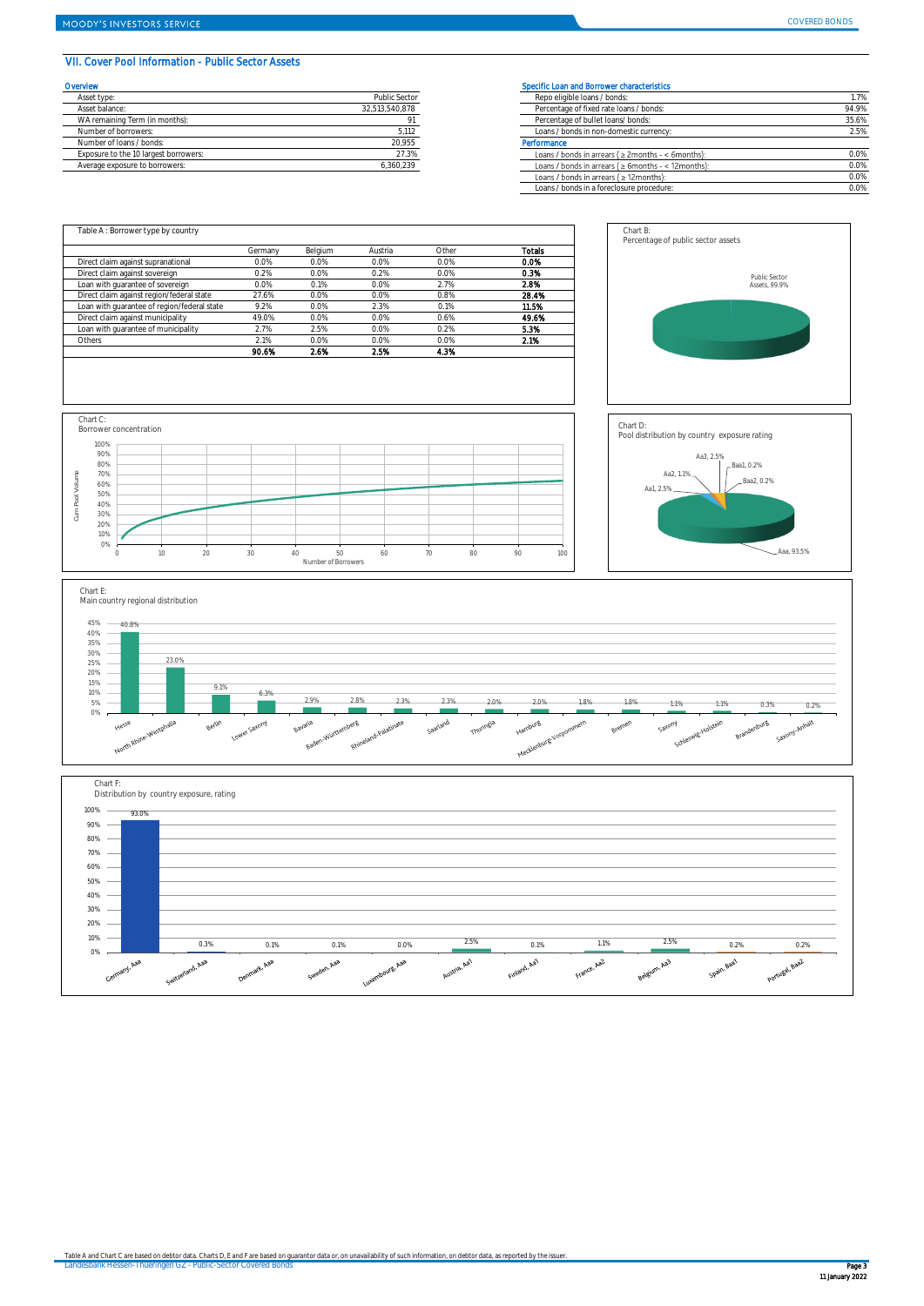### VII. Cover Pool Information - Public Sector Assets

| Overvlew                              |                      | Specific Loan and Borrower characteristics |
|---------------------------------------|----------------------|--------------------------------------------|
| Asset type:                           | <b>Public Sector</b> | Repo eligible loans / bonds:               |
| Asset balance:                        | 32.513.540.878       | Percentage of fixed rate loans / bonds:    |
| WA remaining Term (in months):        |                      | Percentage of bullet loans/ bonds:         |
| Number of borrowers:                  | 5,112                | Loans / bonds in non-domestic currency     |
| Number of Joans / bonds:              | 20.955               | Performance                                |
| Exposure to the 10 largest borrowers: | 27.3%                | Loans / bonds in arrears ( ≥ 2months - <   |
| Average exposure to borrowers:        | 6.360.239            | Loans / bonds in arrears ( ≥ 6months - <   |

| <b>rvlew</b>                          |                | Specific Loan and Borrower characteristics                 |       |
|---------------------------------------|----------------|------------------------------------------------------------|-------|
| Asset type:                           | Public Sector  | Repo eligible loans / bonds:                               | 1.7%  |
| Asset balance:                        | 32.513.540.878 | Percentage of fixed rate loans / bonds:                    | 94.9% |
| WA remaining Term (in months):        |                | Percentage of bullet loans/ bonds:                         | 35.6% |
| Number of borrowers:                  | 5,112          | Loans / bonds in non-domestic currency:                    | 2.5%  |
| Number of loans / bonds:              | 20.955         | Performance                                                |       |
| Exposure to the 10 largest borrowers: | 27.3%          | Loans / bonds in arrears ( $\geq$ 2months - < 6months):    | 0.0%  |
| Average exposure to borrowers:        | 6,360,239      | Loans / bonds in arrears ( $\geq 6$ months - < 12 months): | 0.0%  |
|                                       |                | Loans / bonds in arrears $( \geq 12$ months):              | 0.0%  |
|                                       |                | Loans / bonds in a foreclosure procedure:                  | 0.0%  |
|                                       |                |                                                            |       |

Chart B: Percentage of public sector assets

|                                             | Germany | Belgium | Austria | Other | <b>Totals</b> |
|---------------------------------------------|---------|---------|---------|-------|---------------|
| Direct claim against supranational          | 0.0%    | 0.0%    | 0.0%    | 0.0%  | 0.0%          |
| Direct claim against sovereign              | 0.2%    | 0.0%    | 0.2%    | 0.0%  | 0.3%          |
| Loan with quarantee of sovereign            | 0.0%    | 0.1%    | 0.0%    | 2.7%  | 2.8%          |
| Direct claim against region/federal state   | 27.6%   | 0.0%    | 0.0%    | 0.8%  | 28.4%         |
| Loan with quarantee of region/federal state | 9.2%    | 0.0%    | 2.3%    | 0.1%  | 11.5%         |
| Direct claim against municipality           | 49.0%   | 0.0%    | 0.0%    | 0.6%  | 49.6%         |
| Loan with quarantee of municipality         | 2.7%    | 2.5%    | 0.0%    | 0.2%  | 5.3%          |
| Others                                      | 2.1%    | 0.0%    | 0.0%    | 0.0%  | 2.1%          |
|                                             | 90.6%   | 2.6%    | 2.5%    | 4.3%  |               |





Public Sector Assets, 99.9%



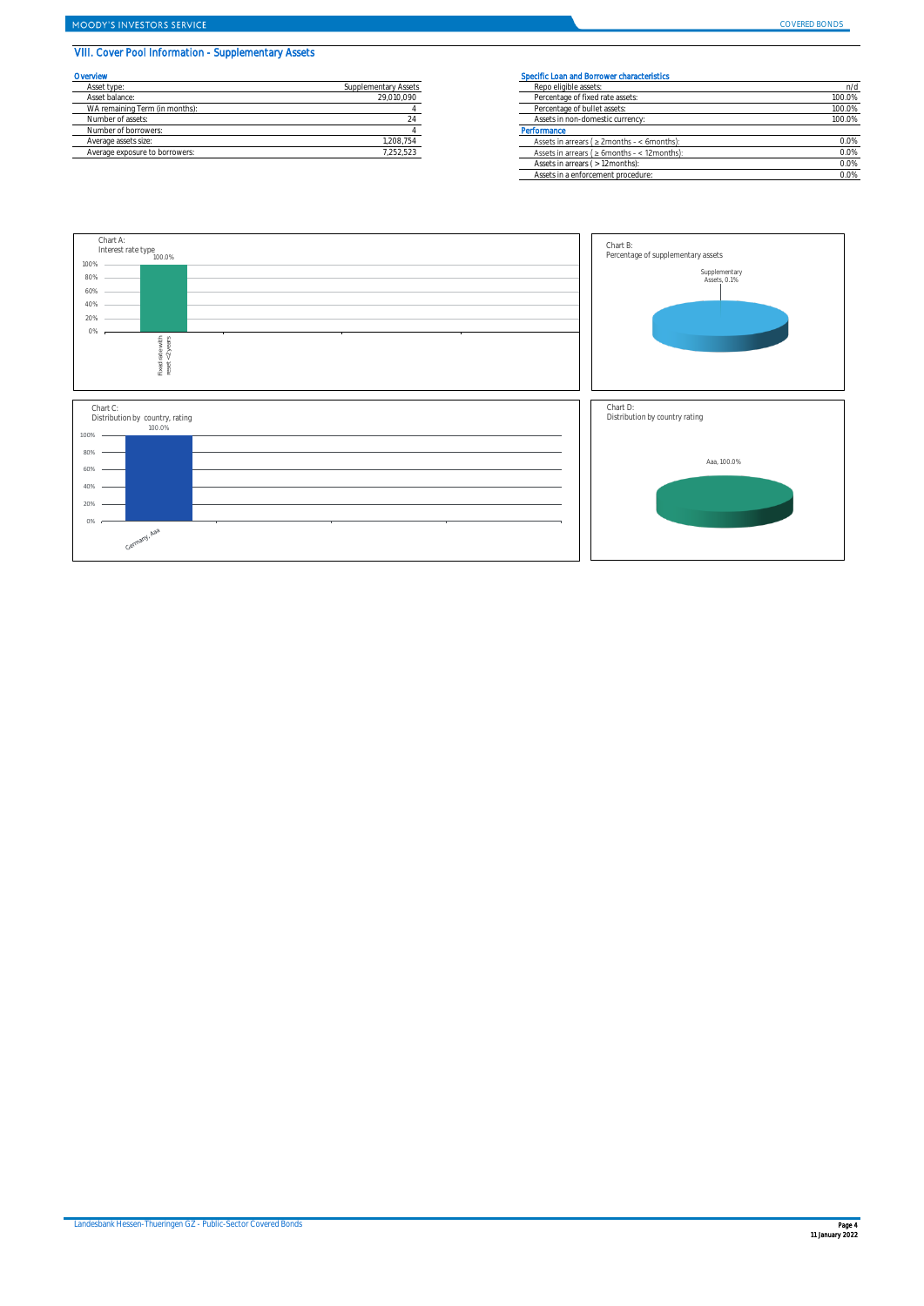# VIII. Cover Pool Information - Supplementary Assets

| Overvlew                       |                      | <b>Specific Loar</b> |
|--------------------------------|----------------------|----------------------|
| Asset type:                    | Supplementary Assets | Repo elic            |
| Asset balance:                 | 29.010.090           | Percenta             |
| WA remaining Term (in months): |                      | Percenta             |
| Number of assets:              |                      | Assets in            |
| Number of borrowers:           |                      | Performance          |
| Average assets size:           | 1.208.754            | Assets in            |
| Average exposure to borrowers: | 7.252.523            | Assets in            |

# **COVERTS Specific Loan and Borrower characteristics**

| Asset type:                    | Supplementary Assets | Repo eligible assets:                                        | n/d    |
|--------------------------------|----------------------|--------------------------------------------------------------|--------|
| Asset balance:                 | 29,010,090           | Percentage of fixed rate assets:                             | 100.0% |
| WA remaining Term (in months): |                      | Percentage of bullet assets:                                 | 100.0% |
| Number of assets:              |                      | Assets in non-domestic currency:                             | 100.0% |
| Number of borrowers:           |                      | Performance                                                  |        |
| Average assets size:           | 1,208,754            | Assets in arrears $(22 \text{ months} - 5 \text{ months})$ : | 0.0%   |
| Average exposure to borrowers: | 1.252.523            | Assets in arrears ( $\geq 6$ months - < 12 months):          | 0.0%   |
|                                |                      | Assets in arrears ( > 12 months):                            | 0.0%   |
|                                |                      | Assets in a enforcement procedure:                           | 0.0%   |

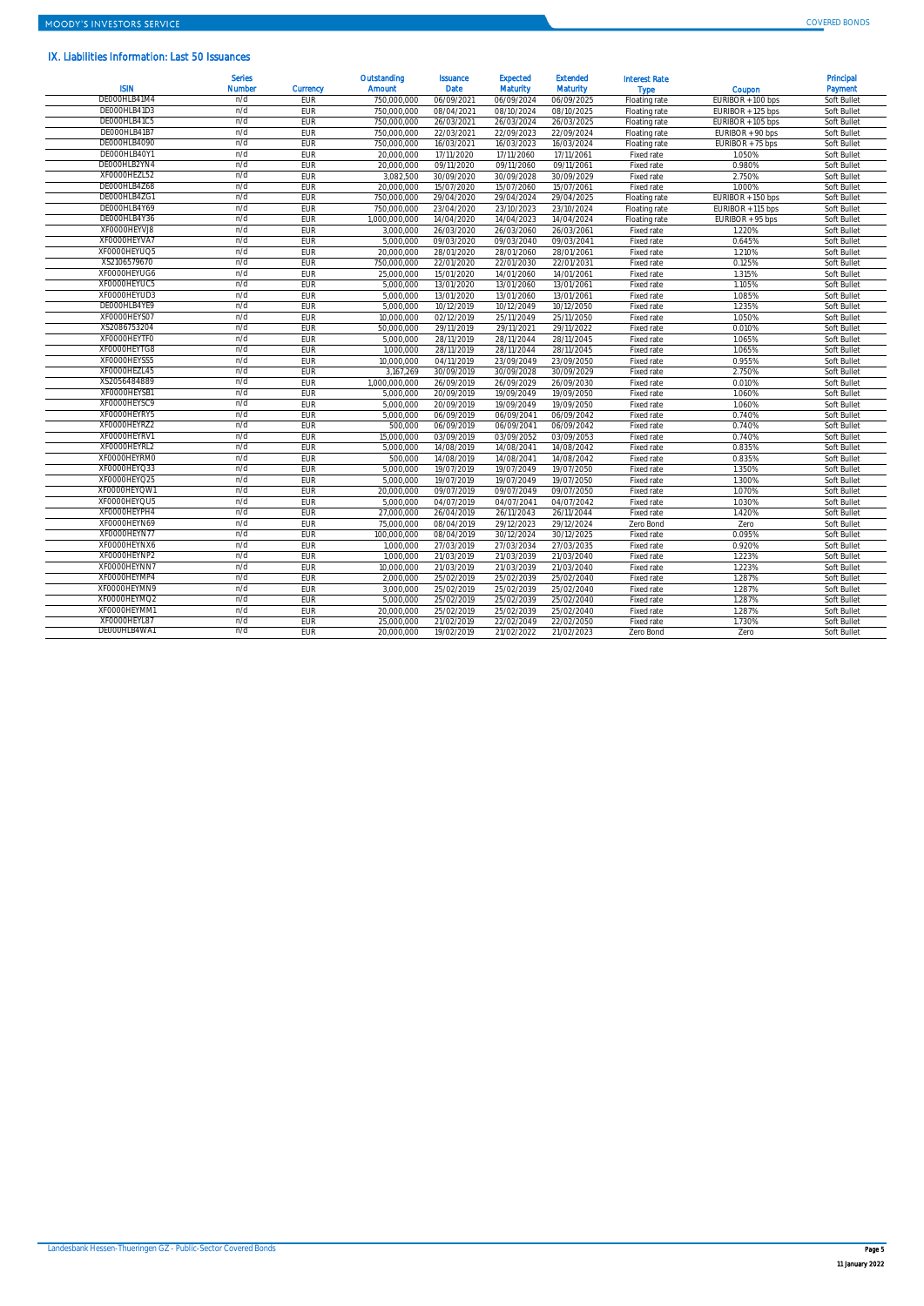# IX. Liabilities Information: Last 50 Issuances

| <b>ISIN</b>  | <b>Serles</b><br><b>Number</b> | Currency   | Outstanding<br>Amount | <b>Issuance</b><br><b>Date</b> | <b>Expected</b><br><b>Maturity</b> | <b>Extended</b><br><b>Maturity</b> | <b>Interest Rate</b><br><b>Type</b> | Coupon            | Principal<br>Payment |
|--------------|--------------------------------|------------|-----------------------|--------------------------------|------------------------------------|------------------------------------|-------------------------------------|-------------------|----------------------|
| DE000HLB41M4 | n/d                            | <b>EUR</b> | 750,000,000           | 06/09/2021                     | 06/09/2024                         | 06/09/2025                         | Floating rate                       | EURIBOR + 100 bps | Soft Bullet          |
| DE000HLB41D3 | n/d                            | EUR        | 750,000,000           | 08/04/2021                     | 08/10/2024                         | 08/10/2025                         | Floating rate                       | EURIBOR + 125 bps | Soft Bullet          |
| DE000HLB41C5 | n/d                            | EUR        | 750,000,000           | 26/03/2021                     | 26/03/2024                         | 26/03/2025                         | Floating rate                       | EURIBOR + 105 bps | Soft Bullet          |
| DE000HLB41B7 | n/d                            | EUR        | 750.000.000           | 22/03/2021                     | 22/09/2023                         | 22/09/2024                         | Floating rate                       | EURIBOR + 90 bps  | Soft Bullet          |
| DE000HLB4090 | n/d                            | EUR        | 750,000,000           | 16/03/2021                     | 16/03/2023                         | 16/03/2024                         | Floating rate                       | EURIBOR + 75 bps  | Soft Bullet          |
| DE000HLB40Y1 | n/d                            | <b>EUR</b> | 20.000.000            | 17/11/2020                     | 17/11/2060                         | 17/11/2061                         | Fixed rate                          | 1.050%            | Soft Bullet          |
| DE000HLB2YN4 | n/d                            | EUR        | 20.000.000            | 09/11/2020                     | 09/11/2060                         | 09/11/2061                         | Fixed rate                          | 0.980%            | Soft Bullet          |
| XF0000HEZL52 | n/d                            | EUR        | 3,082,500             | 30/09/2020                     | 30/09/2028                         | 30/09/2029                         | Fixed rate                          | 2.750%            | Soft Bullet          |
| DE000HLB4Z68 | n/d                            | EUR        | 20,000,000            | 15/07/2020                     | 15/07/2060                         | 15/07/2061                         | Fixed rate                          | 1.000%            | Soft Bullet          |
| DEOOOHLB4ZG1 | n/d                            | EUR        | 750.000.000           | 29/04/2020                     | 29/04/2024                         | 29/04/2025                         | Floating rate                       | EURIBOR + 150 bps | Soft Bullet          |
| DE000HLB4Y69 | n/d                            | EUR        | 750,000,000           | 23/04/2020                     | 23/10/2023                         | 23/10/2024                         | Floating rate                       | EURIBOR + 115 bps | Soft Bullet          |
| DE000HLB4Y36 | n/d                            | EUR        | 1.000.000.000         | 14/04/2020                     | 14/04/2023                         | 14/04/2024                         | Floating rate                       | EURIBOR + 95 bps  | Soft Bullet          |
| XF0000HEYVJ8 | n/d                            | <b>EUR</b> | 3.000.000             | 26/03/2020                     | 26/03/2060                         | 26/03/2061                         | Fixed rate                          | 1.220%            | Soft Bullet          |
| XF0000HEYVA7 | n/d                            | EUR        | 5.000.000             | 09/03/2020                     | 09/03/2040                         | 09/03/2041                         | Fixed rate                          | 0.645%            | Soft Bullet          |
| XF0000HEYUQ5 | n/d                            | EUR        | 20.000.000            | 28/01/2020                     | 28/01/2060                         | 28/01/2061                         | Fixed rate                          | 1.210%            | Soft Bullet          |
| XS2106579670 | n/d                            | EUR        | 750,000,000           | 22/01/2020                     | 22/01/2030                         | 22/01/2031                         | Fixed rate                          | 0.125%            | Soft Bullet          |
| XF0000HEYUG6 | n/d                            | EUR        | 25,000,000            | 15/01/2020                     | 14/01/2060                         | 14/01/2061                         | Fixed rate                          | 1.315%            | Soft Bullet          |
| XF0000HEYUC5 | n/d                            | EUR        | 5,000,000             | 13/01/2020                     | 13/01/2060                         | 13/01/2061                         | Fixed rate                          | 1.105%            | Soft Bullet          |
| XF0000HEYUD3 | n/d                            | EUR        | 5,000,000             | 13/01/2020                     | 13/01/2060                         | 13/01/2061                         | Fixed rate                          | 1.085%            | Soft Bullet          |
| DE000HLB4YE9 | n/d                            | EUR        | 5,000,000             | 10/12/2019                     | 10/12/2049                         | 10/12/2050                         | Fixed rate                          | 1.235%            | Soft Bullet          |
| XF0000HEYS07 | n/d                            | EUR        | 10.000.000            | 02/12/2019                     | 25/11/2049                         | 25/11/2050                         | Fixed rate                          | 1.050%            | Soft Bullet          |
| XS2086753204 | n/d                            | EUR        | 50.000.000            | 29/11/2019                     | 29/11/2021                         | 29/11/2022                         | Fixed rate                          | 0.010%            | Soft Bullet          |
| XF0000HEYTF0 | n/d                            | EUR        | 5.000.000             | 28/11/2019                     | 28/11/2044                         | 28/11/2045                         | Fixed rate                          | 1.065%            | Soft Bullet          |
| XF0000HEYTG8 | n/d                            | EUR        | 1.000.000             | 28/11/2019                     | 28/11/2044                         | 28/11/2045                         | Fixed rate                          | 1.065%            | Soft Bullet          |
| XF0000HEYSS5 | n/d                            | EUR        | 10,000,000            | 04/11/2019                     | 23/09/2049                         | 23/09/2050                         | Fixed rate                          | 0.955%            | Soft Bullet          |
| XF0000HEZL45 | n/d                            | EUR        | 3,167,269             | 30/09/2019                     | 30/09/2028                         | 30/09/2029                         | Fixed rate                          | 2.750%            | Soft Bullet          |
| XS2056484889 | n/d                            | EUR        | 1.000.000.000         | 26/09/2019                     | 26/09/2029                         | 26/09/2030                         | Fixed rate                          | 0.010%            | Soft Bullet          |
| XF0000HEYSB1 | n/d                            | EUR        | 5.000.000             | 20/09/2019                     | 19/09/2049                         | 19/09/2050                         | Fixed rate                          | 1.060%            | Soft Bullet          |
| XF0000HEYSC9 | n/d                            | EUR        | 5.000.000             | 20/09/2019                     | 19/09/2049                         | 19/09/2050                         | Fixed rate                          | 1.060%            | Soft Bullet          |
| XF0000HEYRY5 | n/d                            | EUR        | 5.000.000             | 06/09/2019                     | 06/09/2041                         | 06/09/2042                         | Fixed rate                          | 0.740%            | Soft Bullet          |
| XF0000HEYRZ2 | n/d                            | EUR        | 500,000               | 06/09/2019                     | 06/09/2041                         | 06/09/2042                         | Fixed rate                          | 0.740%            | Soft Bullet          |
| XF0000HEYRV1 | n/d                            | EUR        | 15,000,000            | 03/09/2019                     | 03/09/2052                         | 03/09/2053                         | Fixed rate                          | 0.740%            | Soft Bullet          |
| XF0000HEYRL2 | n/d                            | <b>EUR</b> | 5.000.000             | 14/08/2019                     | 14/08/2041                         | 14/08/2042                         | Fixed rate                          | 0.835%            | Soft Bullet          |
| XF0000HEYRM0 | n/d                            | EUR        | 500,000               | 14/08/2019                     | 14/08/2041                         | 14/08/2042                         | Fixed rate                          | 0.835%            | Soft Bullet          |
| XF0000HEYQ33 | n/d                            | EUR        | 5,000,000             | 19/07/2019                     | 19/07/2049                         | 19/07/2050                         | Fixed rate                          | 1.350%            | Soft Bullet          |
| XF0000HEYQ25 | n/d                            | EUR        | 5,000,000             | 19/07/2019                     | 19/07/2049                         | 19/07/2050                         | Fixed rate                          | 1.300%            | Soft Bullet          |
| XF0000HEYQW1 | n/d                            | EUR        | 20.000.000            | 09/07/2019                     | 09/07/2049                         | 09/07/2050                         | Fixed rate                          | 1.070%            | Soft Bullet          |
| XF0000HEYQU5 | n/d                            | EUR        | 5.000.000             | 04/07/2019                     | 04/07/2041                         | 04/07/2042                         | Fixed rate                          | 1.030%            | Soft Bullet          |
| XF0000HEYPH4 | n/d                            | <b>EUR</b> | 27.000.000            | 26/04/2019                     | 26/11/2043                         | 26/11/2044                         | Fixed rate                          | 1.420%            | Soft Bullet          |
| XF0000HEYN69 | n/d                            | EUR        | 75.000.000            | 08/04/2019                     | 29/12/2023                         | 29/12/2024                         | Zero Bond                           | Zero              | Soft Bullet          |
| XF0000HEYN77 | n/d                            | EUR        | 100.000.000           | 08/04/2019                     | 30/12/2024                         | 30/12/2025                         | Fixed rate                          | 0.095%            | Soft Bullet          |
| XF0000HEYNX6 | n/d                            | EUR        | 1,000,000             | 27/03/2019                     | 27/03/2034                         | 27/03/2035                         | Fixed rate                          | 0.920%            | Soft Bullet          |
| XF0000HEYNP2 | n/d                            | EUR        | 1,000,000             | 21/03/2019                     | 21/03/2039                         | 21/03/2040                         | Fixed rate                          | 1.223%            | Soft Bullet          |
| XF0000HEYNN7 | n/d                            | EUR        | 10.000.000            | 21/03/2019                     | 21/03/2039                         | 21/03/2040                         | Fixed rate                          | 1.223%            | Soft Bullet          |
| XF0000HEYMP4 | n/d                            | EUR        | 2.000.000             | 25/02/2019                     | 25/02/2039                         | 25/02/2040                         | Fixed rate                          | 1.287%            | Soft Bullet          |
| XF0000HEYMN9 | n/d                            | <b>EUR</b> | 3.000.000             | 25/02/2019                     | 25/02/2039                         | 25/02/2040                         | Fixed rate                          | 1.287%            | Soft Bullet          |
| XF0000HEYMQ2 | n/d                            | EUR        | 5.000.000             | 25/02/2019                     | 25/02/2039                         | 25/02/2040                         | Fixed rate                          | 1.287%            | Soft Bullet          |
| XF0000HEYMM1 | n/d                            | EUR        | 20.000.000            | 25/02/2019                     | 25/02/2039                         | 25/02/2040                         | Fixed rate                          | 1.287%            | Soft Bullet          |
| XF0000HEYL87 | n/d                            | <b>FUR</b> | 25.000.000            | 21/02/2019                     | 22/02/2049                         | 22/02/2050                         | Fixed rate                          | 1.730%            | Soft Bullet          |
| DE000HLB4WA1 | n/d                            | EUR        | 20.000.000            | 19/02/2019                     | 21/02/2022                         | 21/02/2023                         | Zero Bond                           | Zero              | Soft Bullet          |